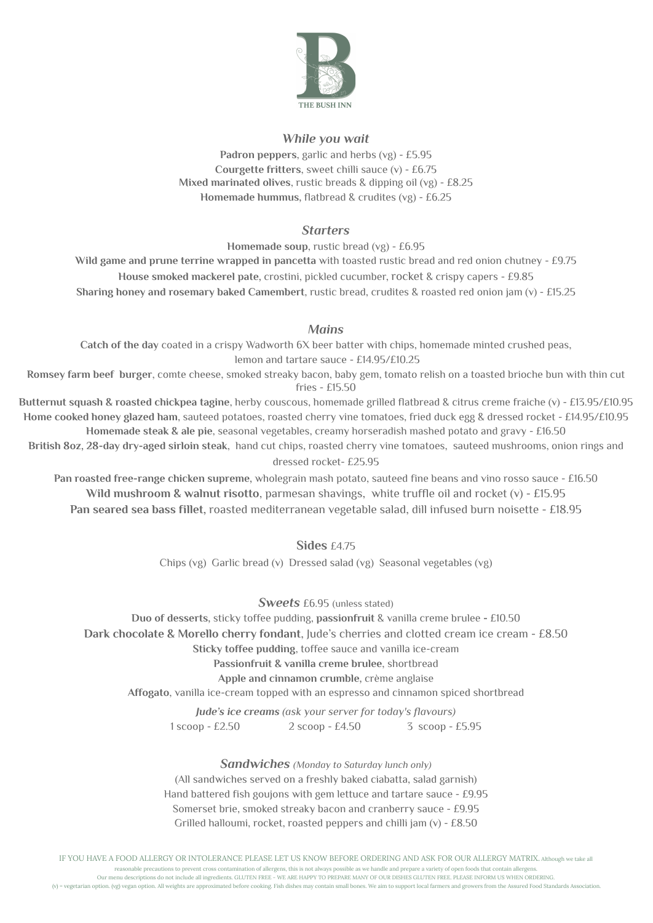

## *While you wait*

**Padron peppers**, garlic and herbs (vg) - £5.95 **Courgette fritters**, sweet chilli sauce (v) - £6.75 **Mixed marinated olives**, rustic breads & dipping oil (vg) - £8.25 **Homemade hummus,** flatbread & crudites (vg) - £6.25

## *Starters*

**Homemade soup**, rustic bread (vg) - £6.95

**Wild game and prune terrine wrapped in pancetta** with toasted rustic bread and red onion chutney - £9.75 **House smoked mackerel pate,** crostini, pickled cucumber, rocket & crispy capers - £9.85 **Sharing honey and rosemary baked Camembert**, rustic bread, crudites & roasted red onion jam (v) - £15.25

## *Mains*

**Catch of the day** coated in a crispy Wadworth 6X beer batter with chips, homemade minted crushed peas, lemon and tartare sauce - £14.95/£10.25

**Romsey farm beef burger**, comte cheese, smoked streaky bacon, baby gem, tomato relish on a toasted brioche bun with thin cut fries - £15.50

**Butternut squash & roasted chickpea tagine**, herby couscous, homemade grilled flatbread & citrus creme fraiche (v) - £13.95/£10.95 **Home cooked honey glazed ham**, sauteed potatoes, roasted cherry vine tomatoes, fried duck egg & dressed rocket - £14.95/£10.95 **Homemade steak & ale pie**, seasonal vegetables, creamy horseradish mashed potato and gravy - £16.50

**British 8oz, 28-day dry-aged sirloin steak**, hand cut chips, roasted cherry vine tomatoes, sauteed mushrooms, onion rings and dressed rocket- £25.95

**Pan roasted free-range chicken supreme,** wholegrain mash potato, sauteed fine beans and vino rosso sauce - £16.50 **Wild mushroom & walnut risotto**, parmesan shavings, white truffle oil and rocket (v) - £15.95 **Pan seared sea bass fillet,** roasted mediterranean vegetable salad, dill infused burn noisette - £18.95

**Sides** £4.75

Chips (vg) Garlic bread (v) Dressed salad (vg) Seasonal vegetables (vg)

*Sweets* £6.95 (unless stated)

**Duo of desserts,** sticky toffee pudding, **passionfruit** & vanilla creme brulee **-** £10.50 **Dark chocolate & Morello cherry fondant**, Jude's cherries and clotted cream ice cream - £8.50 **Sticky toffee pudding**, toffee sauce and vanilla ice-cream **Passionfruit & vanilla creme brulee**, shortbread

**Apple and cinnamon crumble,** crème anglaise

**Affogato**, vanilla ice-cream topped with an espresso and cinnamon spiced shortbread

*Jude's ice creams (ask your server for today's flavours)* 1 scoop - £2.50 2 scoop - £4.50 3 scoop - £5.95

*Sandwiches (Monday to Saturday lunch only)*

(All sandwiches served on a freshly baked ciabatta, salad garnish) Hand battered fish goujons with gem lettuce and tartare sauce - £9.95 Somerset brie, smoked streaky bacon and cranberry sauce - £9.95 Grilled halloumi, rocket, roasted peppers and chilli jam  $(v)$  - £8.50